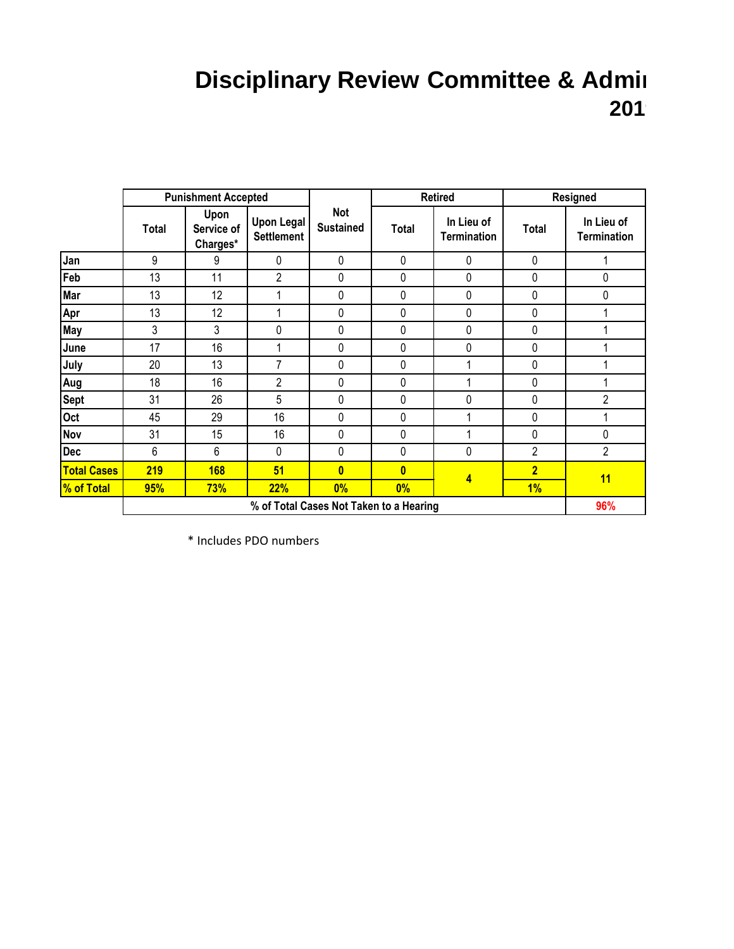## **Disciplinary Review Committee & Admin 2019**

|                    | <b>Punishment Accepted</b>              |                                |                                        | <b>Retired</b>                 |              | Resigned                         |                |                                  |
|--------------------|-----------------------------------------|--------------------------------|----------------------------------------|--------------------------------|--------------|----------------------------------|----------------|----------------------------------|
|                    | <b>Total</b>                            | Upon<br>Service of<br>Charges* | <b>Upon Legal</b><br><b>Settlement</b> | <b>Not</b><br><b>Sustained</b> | <b>Total</b> | In Lieu of<br><b>Termination</b> | <b>Total</b>   | In Lieu of<br><b>Termination</b> |
| Jan                | 9                                       | 9                              | $\mathbf 0$                            | $\mathbf 0$                    | 0            | 0                                | $\mathbf 0$    |                                  |
| Feb                | 13                                      | 11                             | $\overline{2}$                         | 0                              | 0            | 0                                | 0              | 0                                |
| Mar                | 13                                      | 12                             |                                        | 0                              | 0            | 0                                | 0              | 0                                |
| Apr                | 13                                      | 12                             |                                        | 0                              | 0            | 0                                | 0              | 1                                |
| <b>May</b>         | 3                                       | 3                              | 0                                      | 0                              | 0            | 0                                | 0              |                                  |
| June               | 17                                      | 16                             |                                        | 0                              | 0            | 0                                | 0              |                                  |
| July               | 20                                      | 13                             | 7                                      | 0                              | 0            | 1                                | 0              |                                  |
| Aug                | 18                                      | 16                             | 2                                      | 0                              | 0            |                                  | 0              |                                  |
| <b>Sept</b>        | 31                                      | 26                             | 5                                      | 0                              | 0            | 0                                | 0              | $\overline{2}$                   |
| Oct                | 45                                      | 29                             | 16                                     | 0                              | $\mathbf 0$  |                                  | 0              |                                  |
| <b>Nov</b>         | 31                                      | 15                             | 16                                     | 0                              | $\mathbf 0$  | 1                                | $\mathbf 0$    | $\pmb{0}$                        |
| <b>Dec</b>         | 6                                       | 6                              | 0                                      | $\mathbf{0}$                   | $\mathbf 0$  | 0                                | $\overline{2}$ | $\overline{2}$                   |
| <b>Total Cases</b> | 219                                     | <b>168</b>                     | 51                                     | $\mathbf{0}$                   | $\mathbf{0}$ | 4                                | $\overline{2}$ | 11                               |
| % of Total         | 95%                                     | <b>73%</b>                     | <b>22%</b>                             | $0\%$                          | $0\%$        |                                  | 1%             |                                  |
|                    | % of Total Cases Not Taken to a Hearing |                                |                                        |                                |              | 96%                              |                |                                  |

\* Includes PDO numbers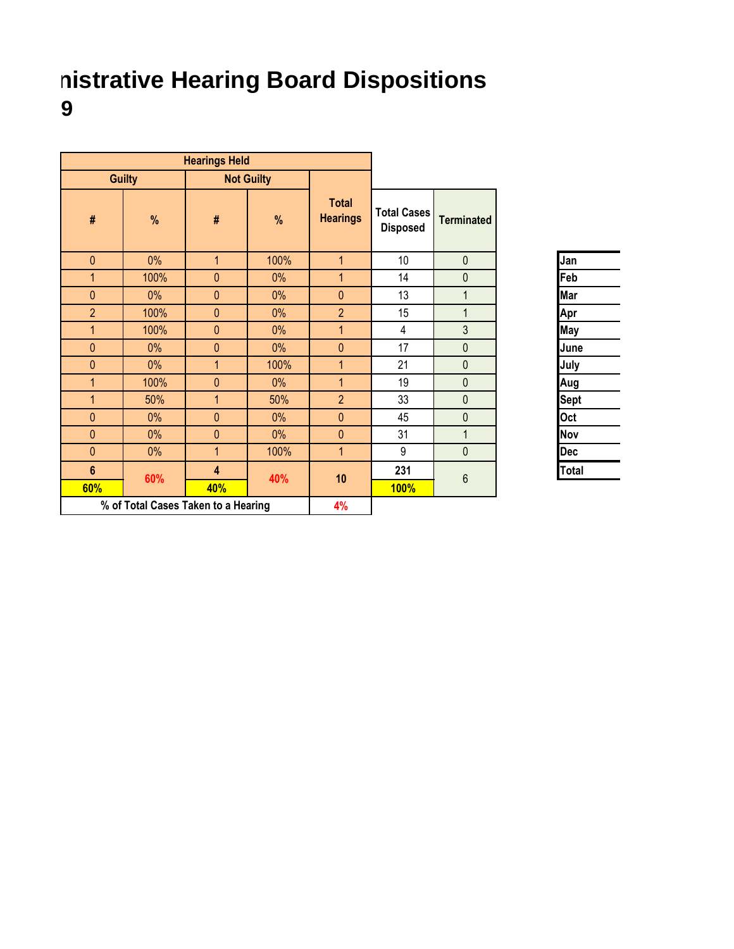## **nistrative Hearing Board Dispositions 2019**

| <b>Hearings Held</b> |                                     |                |                   |                                 |                                       |                   |              |
|----------------------|-------------------------------------|----------------|-------------------|---------------------------------|---------------------------------------|-------------------|--------------|
|                      | <b>Guilty</b>                       |                | <b>Not Guilty</b> |                                 |                                       |                   |              |
| #                    | %                                   | $\#$           | %                 | <b>Total</b><br><b>Hearings</b> | <b>Total Cases</b><br><b>Disposed</b> | <b>Terminated</b> |              |
| $\mathbf{0}$         | 0%                                  | $\mathbf{1}$   | 100%              | $\overline{1}$                  | 10                                    | $\mathbf 0$       | Jan          |
| 1                    | 100%                                | $\mathbf{0}$   | $0\%$             | $\mathbf{1}$                    | 14                                    | $\mathbf 0$       | Feb          |
| $\mathbf{0}$         | 0%                                  | $\mathbf{0}$   | 0%                | $\mathbf{0}$                    | 13                                    | $\mathbf{1}$      | Mar          |
| $\overline{2}$       | 100%                                | $\pmb{0}$      | 0%                | $\overline{2}$                  | 15                                    | $\mathbf{1}$      | Apr          |
| $\mathbf{1}$         | 100%                                | $\mathbf{0}$   | $0\%$             | $\overline{1}$                  | 4                                     | 3                 | May          |
| $\mathbf{0}$         | 0%                                  | $\mathbf{0}$   | $0\%$             | $\overline{0}$                  | 17                                    | $\mathbf{0}$      | June         |
| $\mathbf{0}$         | 0%                                  | $\mathbf{1}$   | 100%              | $\overline{1}$                  | 21                                    | $\mathbf 0$       | July         |
| $\overline{1}$       | 100%                                | $\mathbf{0}$   | $0\%$             | $\overline{1}$                  | 19                                    | $\mathbf{0}$      | Aug          |
| $\mathbf{1}$         | 50%                                 | 1              | 50%               | $\overline{2}$                  | 33                                    | $\mathbf 0$       | Sept         |
| $\mathbf{0}$         | 0%                                  | $\mathbf{0}$   | $0\%$             | $\mathbf{0}$                    | 45                                    | $\overline{0}$    | Oct          |
| $\mathbf{0}$         | 0%                                  | $\mathbf{0}$   | $0\%$             | $\overline{0}$                  | 31                                    | $\mathbf{1}$      | <b>Nov</b>   |
| $\mathbf{0}$         | 0%                                  | $\overline{1}$ | 100%              | $\overline{1}$                  | 9                                     | $\mathbf 0$       | <b>Dec</b>   |
| $6\phantom{a}$       |                                     | 4              |                   | 10                              | 231                                   | $6\phantom{1}$    | <b>Total</b> |
| 60%                  | 60%                                 | 40%            | 40%               |                                 | <b>100%</b>                           |                   |              |
|                      | % of Total Cases Taken to a Hearing |                |                   | 4%                              |                                       |                   |              |

| Jan         |  |
|-------------|--|
| Feb         |  |
| Mar         |  |
| Apr         |  |
| May         |  |
| June        |  |
| July        |  |
| Aug         |  |
| <b>Sept</b> |  |
| Oct         |  |
| Nov         |  |
| Dec         |  |
| Total       |  |